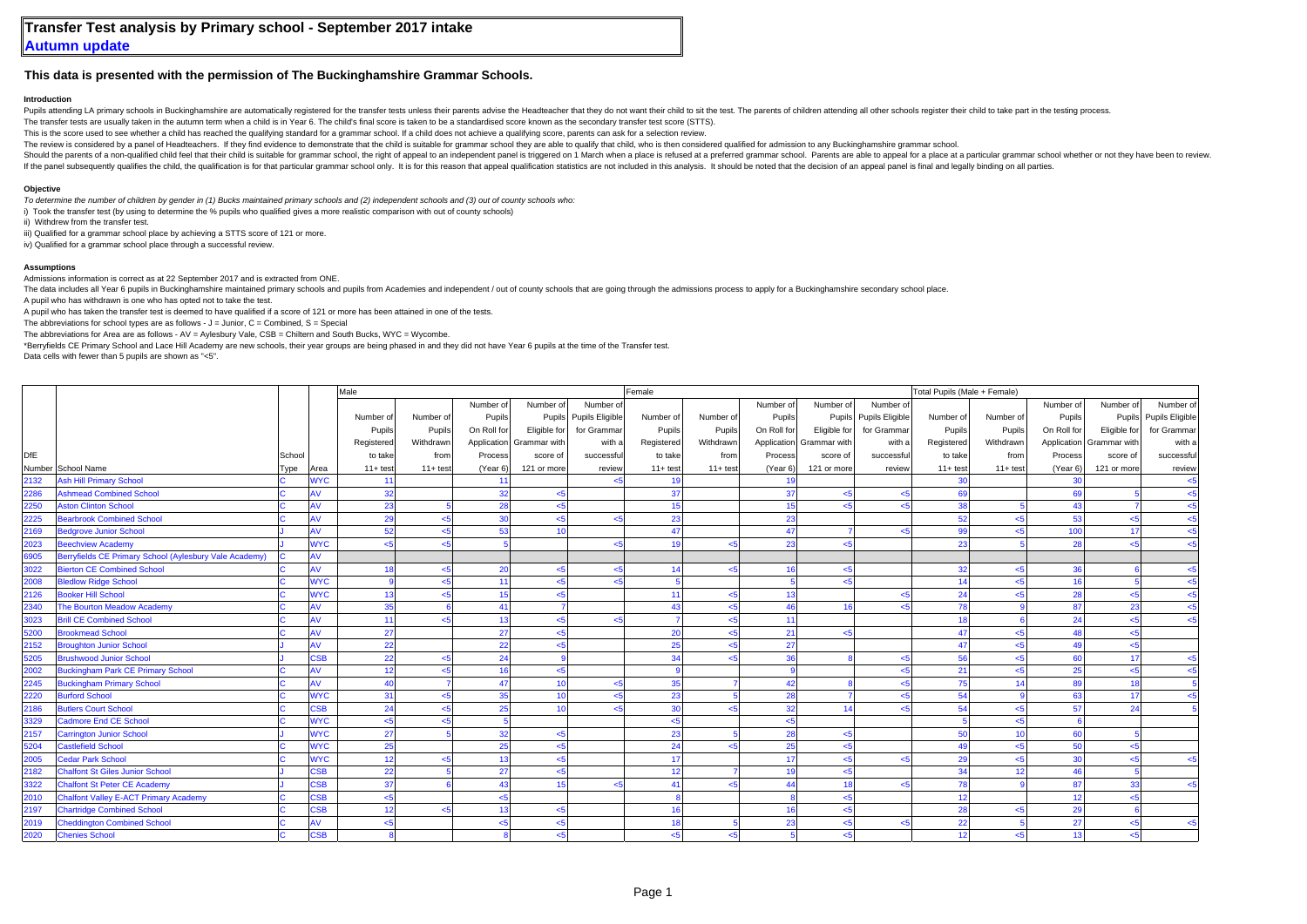## **This data is presented with the permission of The Buckinghamshire Grammar Schools.**

## **Introduction**

Pupils attending LA primary schools in Buckinghamshire are automatically registered for the transfer tests unless their parents advise the Headteacher that they do not want their child to sit the test. The parents of child

The transfer tests are usually taken in the autumn term when a child is in Year 6. The child's final score is taken to be a standardised score known as the secondary transfer test score (STTS).

This is the score used to see whether a child has reached the qualifying standard for a grammar school. If a child does not achieve a qualifying score, parents can ask for a selection review.

The review is considered by a panel of Headteachers. If they find evidence to demonstrate that the child is suitable for grammar school they are able to qualify that child, who is then considered qualified for admission to

Should the parents of a non-qualified child feel that their child is suitable for grammar school, the right of appeal to an independent panel is triggered on 1 March when a place is refused at a preferred grammar school. P If the papel subsequently qualifies the child, the qualification is for that particular grammar school only. It is for this reason that appeal qualification statistics are not included in this analysis. It should be noted

## **Objective**

*To determine the number of children by gender in (1) Bucks maintained primary schools and (2) independent schools and (3) out of county schools who:*

i) Took the transfer test (by using to determine the % pupils who qualified gives a more realistic comparison with out of county schools)

ii) Withdrew from the transfer test.

iii) Qualified for a grammar school place by achieving a STTS score of 121 or more.

iv) Qualified for a grammar school place through a successful review.

## **Assumptions**

Admissions information is correct as at 22 September 2017 and is extracted from ONE.

The data includes all Year 6 pupils in Buckinghamshire maintained primary schools and pupils from Academies and independent / out of county schools that are going through the admissions process to apply for a Buckinghamshi

A pupil who has withdrawn is one who has opted not to take the test.

A pupil who has taken the transfer test is deemed to have qualified if a score of 121 or more has been attained in one of the tests.

The abbreviations for school types are as follows -  $J =$  Junior,  $C =$  Combined,  $S =$  Special

The abbreviations for Area are as follows - AV = Aylesbury Vale, CSB = Chiltern and South Bucks, WYC = Wycombe.

\*Berryfields CE Primary School and Lace Hill Academy are new schools, their year groups are being phased in and they did not have Year 6 pupils at the time of the Transfer test.

Data cells with fewer than 5 pupils are shown as "<5".

|            |                                                        |        |            | Male<br>Female |             |             |                          |                        |            |             |             |                |                        |            | Total Pupils (Male + Female) |                 |                          |                        |  |  |  |
|------------|--------------------------------------------------------|--------|------------|----------------|-------------|-------------|--------------------------|------------------------|------------|-------------|-------------|----------------|------------------------|------------|------------------------------|-----------------|--------------------------|------------------------|--|--|--|
|            |                                                        |        |            |                |             | Number of   | Number of                | Number of              |            |             | Number of   | Number of      | Number of              |            |                              | Number of       | Number of                | Number of              |  |  |  |
|            |                                                        |        |            | Number of      | Number of   | Pupils      |                          | Pupils Pupils Eligible | Number of  | Number of   | Pupils      |                | Pupils Pupils Eligible | Number of  | Number of                    | Pupils          |                          | Pupils Pupils Eligible |  |  |  |
|            |                                                        |        |            | Pupils         | Pupils      | On Roll for | Eligible for             | for Grammar            | Pupils     | Pupils      | On Roll for | Eligible for   | for Grammar            | Pupils     | Pupils                       | On Roll for     | Eligible for             | for Grammar            |  |  |  |
|            |                                                        |        |            | Registered     | Withdrawn   |             | Application Grammar with | with a                 | Registered | Withdrawn   | Application | Grammar with   | with a                 | Registered | Withdrawn                    |                 | Application Grammar with | with a                 |  |  |  |
| <b>DfE</b> |                                                        | School |            | to take        | from        | Process     | score of                 | successfu              | to take    | from        | Process     | score of       | successful             | to take    | from                         | Process         | score of                 | successful             |  |  |  |
|            | Number School Name                                     | Type   | Area       | $11 + test$    | $11 + test$ | (Year 6)    | 121 or more              | review                 | $11+ test$ | $11 + test$ | (Year 6)    | 121 or more    | review                 | $11+ test$ | $11 + test$                  | (Year 6)        | 121 or more              | review                 |  |  |  |
| 2132       | <b>Ash Hill Primary School</b>                         |        | <b>NYC</b> | 11             |             | 11          |                          |                        | 19         |             | 19          |                |                        | 30         |                              | 30 <sup>1</sup> |                          | $5$                    |  |  |  |
| 2286       | <b>Ashmead Combined School</b>                         |        | ١V         | 32             |             | 32          | $\leq$ 5                 |                        | 37         |             | 37          | $5$            |                        | 69         |                              | 69              |                          | $<$ 5                  |  |  |  |
| 2250       | <b>Aston Clinton School</b>                            |        | ١V         | 23             |             | 28          | <5                       |                        | 15         |             | 15          | $5 - 5$        | < 5                    | 38         |                              | 43              |                          | $<$ 5                  |  |  |  |
| 2225       | <b>Bearbrook Combined School</b>                       |        | A٧         | 29             | $<$ 5       | 30          | $5 - 5$                  | -45                    | 23         |             | 23          |                |                        | 52         | بجے                          | 53              | $5 - 5$                  | $<$ 5                  |  |  |  |
| 2169       | <b>Bedgrove Junior School</b>                          |        | ۹V         | 52             | -45         | 53          | 10 <sup>1</sup>          |                        | 47         |             | 47          |                | <5                     | 99         |                              | 100             | 17                       | $<$ 5                  |  |  |  |
| 2023       | <b>Beechview Academy</b>                               |        | <b>WYC</b> | تار            | اے          |             |                          | 5>                     | 10         | <5          | 23          | $5 - 5$        |                        | 23         |                              | 28              | $5 - 5$                  | $<$ 5                  |  |  |  |
| 6905       | Berryfields CE Primary School (Aylesbury Vale Academy) |        | ١V         |                |             |             |                          |                        |            |             |             |                |                        |            |                              |                 |                          |                        |  |  |  |
| 3022       | <b>Bierton CE Combined School</b>                      |        | ١V         | 18             | بے۔         | 20          | $5$                      | 5>                     | 14         | بجر         | 16          | 5              |                        | 32         | جے                           | 36              |                          | $<$ 5                  |  |  |  |
| 2008       | <b>Bledlow Ridge School</b>                            |        | <b>WYC</b> |                | بے          | 11          | <5                       | 5ے                     |            |             |             | $5 - 5$        |                        | 14         |                              | 16              |                          | $<$ 5                  |  |  |  |
| 2126       | <b>Booker Hill School</b>                              |        | <b>WYC</b> | 13             | اے۔         | 15          | 5                        |                        | 11         |             | 13          |                |                        | 24         |                              | 28              | $5$                      | $<$ 5                  |  |  |  |
| 2340       | The Bourton Meadow Academy                             |        | ١V         | 35             |             | 41          |                          |                        | 43         |             | 46          | 16             |                        | 78         |                              | 87              | 23                       | $<$ 5                  |  |  |  |
| 3023       | <b>Brill CE Combined School</b>                        |        | A٧         | 11             | اے          | 13          | <5                       | -45                    |            |             | 11          |                |                        | 18         |                              | 24              | < 5                      | $<$ 5                  |  |  |  |
| 5200       | <b>Brookmead School</b>                                |        | ١V         | 27             |             | 27          | $5 - 5$                  |                        | 20         |             | 21          | $5 - 5$        |                        | 47         |                              | 48              | $5 - 5$                  |                        |  |  |  |
| 2152       | <b>Broughton Junior School</b>                         |        | ۹V         | 22             |             | 22          | $5 - 5$                  |                        | 25         |             | 27          |                |                        | 47         | ير                           | 49              | $5 - 5$                  |                        |  |  |  |
| 5205       | <b>Brushwood Junior School</b>                         |        | <b>SB</b>  | 22             | اے          | 24          |                          |                        | 34         |             | 36          |                | $\leq 5$               | 56         | بجے                          | 60              | 17                       | $<$ 5                  |  |  |  |
| 2002       | <b>Buckingham Park CE Primary School</b>               |        | ١V         | 12             | ہے۔         | 16          | $5$                      |                        |            |             |             |                | $\leq 5$               | 21         | جے                           | 25              | <5                       | $<$ 5                  |  |  |  |
| 2245       | <b>Buckingham Primary School</b>                       |        | ١V         | 40             |             | 47          | 10                       | -45                    | 35         |             | 42          |                | < 5                    | 75         |                              | 89              | 18                       |                        |  |  |  |
| 2220       | <b>Burford School</b>                                  |        | <b>NYC</b> | 31             | < 5         | 35          | 10                       | 5ے                     | 23         |             | 28          |                | < 5                    | 54         |                              | 63              | 17                       | < 5                    |  |  |  |
| 2186       | <b>Butlers Court School</b>                            |        | <b>SB</b>  | 24             | ہے۔         | 25          | 10                       | ہے۔                    | 30         |             | 32          | 14             | < 5                    | 54         | جے                           | 57              | 24                       |                        |  |  |  |
| 3329       | Cadmore End CE School                                  |        | <b>NYC</b> | $5$            | اے          | -5          |                          |                        | $5$        |             | $5$         |                |                        |            | اے                           |                 |                          |                        |  |  |  |
| 2157       | <b>Carrington Junior School</b>                        |        | <b>VYC</b> | 27             |             | 32          | <5                       |                        | 23         |             | 28          | $5 - 5$        |                        | 50         |                              | 60              |                          |                        |  |  |  |
| 5204       | <b>Castlefield School</b>                              |        | <b>VYC</b> | 25             |             | 25          | <5                       |                        | 24         |             | 25          | <5             |                        | 49         | بے                           | 50              | $5$                      |                        |  |  |  |
| 2005       | <b>Cedar Park School</b>                               |        | <b>NYC</b> | 12             | اے          | 13          | 5 <sub>6</sub>           |                        | 17         |             | 17          | $5 - 5$        | $\leq 5$               | 29         |                              | 30              | $5 - 5$                  | $<$ 5                  |  |  |  |
| 2182       | <b>Chalfont St Giles Junior School</b>                 |        | <b>SB</b>  | 22             |             | 27          | 5 <sub>6</sub>           |                        | 12         |             | 19          | 5 <sub>5</sub> |                        | 34         |                              | 46              |                          |                        |  |  |  |
| 3322       | <b>Chalfont St Peter CE Academy</b>                    |        | <b>SB</b>  | 37             |             | 43          | 15                       | 5ے                     | 41         |             | 44          | 18             | $\leq 5$               | 78         |                              | 87              | 33                       | $<$ 5                  |  |  |  |
| 2010       | <b>Chalfont Valley E-ACT Primary Academy</b>           |        | <b>SB</b>  | $5$            |             | < 5         |                          |                        |            |             |             | < 5            |                        | 12         |                              | 12              | $5 - 5$                  |                        |  |  |  |
| 2197       | <b>Chartridge Combined School</b>                      |        | <b>SB</b>  | 12             | -45         | 13          | <5                       |                        | 16         |             | 16          | $5$            |                        | 28         | بجے                          | 29              |                          |                        |  |  |  |
| 2019       | <b>Cheddington Combined School</b>                     |        | ١V         | k.             |             | < 5         | 5                        |                        | 18         |             | 23          | < 5            | $\leq 5$               | 22         |                              | 27              | 5                        | $<$ 5                  |  |  |  |
| 2020       | <b>Chenies School</b>                                  |        | <b>CSB</b> |                |             |             | <5                       |                        | $<$ 5      |             |             | < 5            |                        | 12         | <5                           | 13              | $5$                      |                        |  |  |  |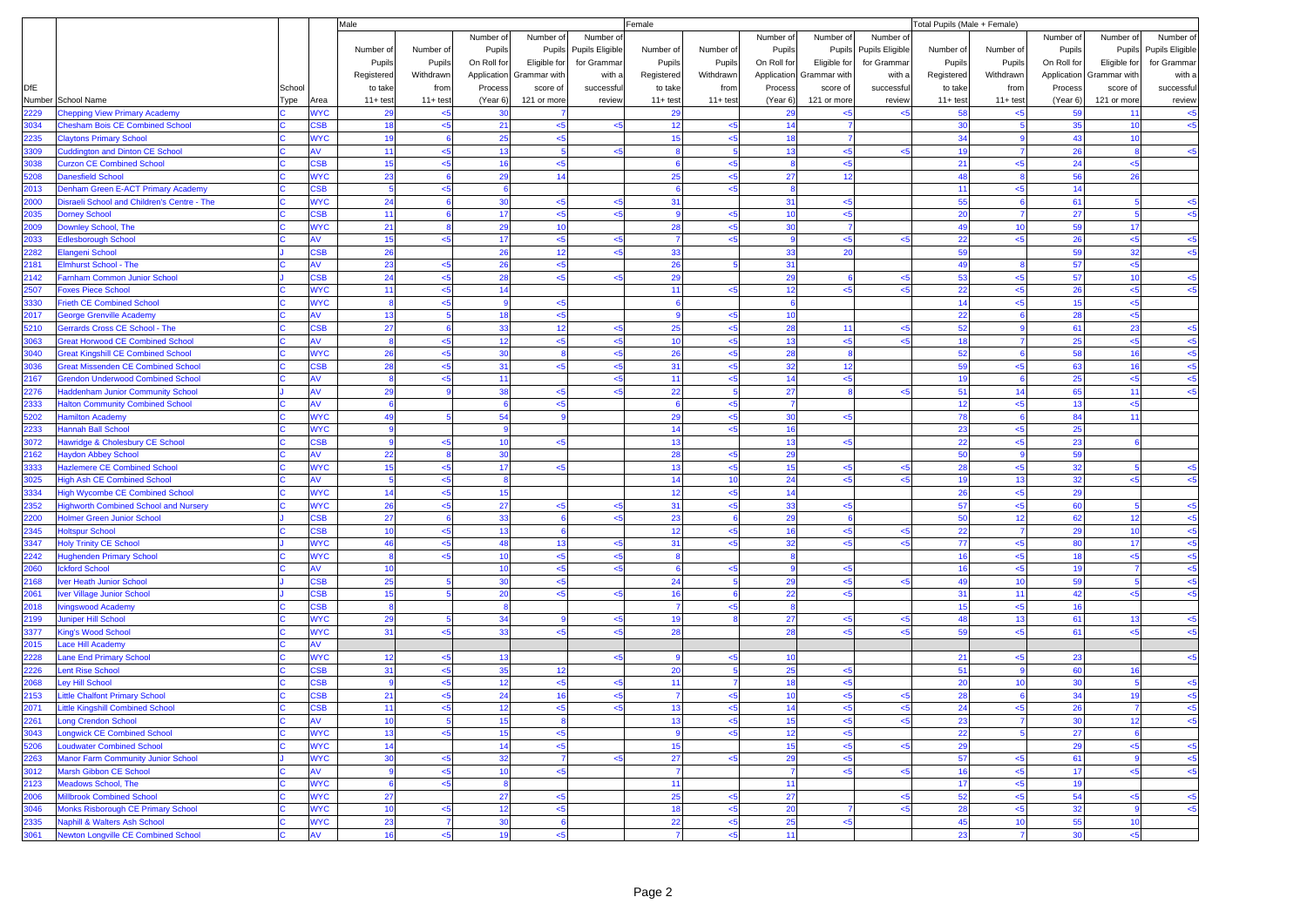|              |                                                               |        |                          | Male               |            |                    |                 |                        | Female         |                |              |                          |                        | Total Pupils (Male + Female) |                    |             |                |                 |  |
|--------------|---------------------------------------------------------------|--------|--------------------------|--------------------|------------|--------------------|-----------------|------------------------|----------------|----------------|--------------|--------------------------|------------------------|------------------------------|--------------------|-------------|----------------|-----------------|--|
|              |                                                               |        |                          |                    |            | Number of          | Number of       | Number of              |                |                | Number of    | Number of                | Number of              |                              |                    | Number of   | Number of      | Number of       |  |
|              |                                                               |        |                          | Number of          | Number of  | Pupils             |                 | Pupils Pupils Eligible | Number of      | Number of      | Pupils       | Pupils                   | <b>Pupils Eligible</b> | Number of                    | Number of          | Pupils      | Pupils         | Pupils Eligible |  |
|              |                                                               |        |                          | Pupils             | Pupils     | On Roll for        | Eligible for    | for Grammar            | Pupils         | Pupils         | On Roll for  | Eligible for             | for Grammar            | Pupils                       | Pupils             | On Roll for | Eligible for   | for Grammar     |  |
|              |                                                               |        |                          | Registered         | Withdrawn  | Application        | Grammar with    | with a                 | Registered     | Withdrawn      |              | Application Grammar with | with a                 | Registered                   | Withdrawn          | Application | Grammar with   | with a          |  |
| <b>DfE</b>   |                                                               | School |                          | to take            | from       | Process            | score of        | successful             | to take        | from           | Process      | score of                 | successful             | to take                      | from               | Process     | score of       | successful      |  |
|              | Number School Name                                            | Type   | Area                     | $11 + \text{test}$ | $11+ test$ | (Year 6)           | 121 or more     | review                 | $11+ test$     | $11 + test$    | (Year 6)     | 121 or more              | review                 | $11+ test$                   | $11 + \text{test}$ | (Year 6)    | 121 or more    | review          |  |
| 2229         | <b>Chepping View Primary Academy</b>                          |        | <b>VYC</b>               | 29                 | $\leq$     | 30                 |                 |                        | 29             |                | 29           | $5$                      |                        | 58                           | $5 - 5$            | 59          | 11             | $5$             |  |
| 3034         | <b>Chesham Bois CE Combined School</b>                        |        | <b>SB</b>                | 18                 | 5          | 21                 | < 5             |                        | 12             | < 5            | 14           | $\overline{7}$           |                        | 30                           |                    | 35          | 10             | $<$ 5           |  |
| 2235         | <b>Claytons Primary School</b>                                |        | <b>VYC</b>               | 19                 | -6         | 25                 | $5$             |                        | 15             | < 5            | 18           | $\overline{7}$           |                        | 34                           | $\mathbf{Q}$       | 43          | 10             |                 |  |
| 3309         | <b>Cuddington and Dinton CE School</b>                        |        | w                        | 11                 | $5$        | 13                 | 5               | $\epsilon$ 5           |                |                | 13           | $<$ 5                    | <5                     | 19                           |                    | 26          |                | $<$ 5           |  |
| 3038         | <b>Curzon CE Combined School</b>                              |        | <b>SB</b>                | 15                 | 5          | 16                 | < 5             |                        | - 6            | $<$ 5          | $\mathbf{a}$ | $5$                      |                        | 21                           | < 5                | 24          | < 5            |                 |  |
| 5208         | <b>Danesfield School</b>                                      |        | <b>VYC</b>               | 23                 | 6          | 29                 | 14              |                        | 25             | < 5            | 27           | 12                       |                        | 48                           | 8                  | 56          | 26             |                 |  |
| 2013         | Denham Green E-ACT Primary Academy                            |        | <b>SB</b>                | 5                  | $5$        | 6                  |                 |                        |                | $<$ 5          | 8            |                          |                        | 11                           | $5$                | 14          |                |                 |  |
| 2000         | Disraeli School and Children's Centre - The                   |        | <b>NYC</b>               | 24                 |            | 30                 | < 5             | < 5                    | 31             |                | 31           | $5$                      |                        | 55                           | 6                  | 61          | 5              | $<$ 5           |  |
| 2035         | <b>Dorney School</b>                                          |        | <b>SB</b>                | 11                 |            | 17                 | $5$             | $5$                    | -9             | < 5            | 10           | $5$                      |                        | 20                           | $\overline{7}$     | 27          | 5              | $<$ 5           |  |
| 2009         | Downley School, The                                           |        | <b>VYC</b>               | 21                 |            | 29                 | 10              |                        | 28             | $5$            | 30           | $\overline{7}$           |                        | 49                           | 10 <sub>1</sub>    | 59          | 17             |                 |  |
| 2033         | <b>Edlesborough School</b>                                    |        | <b>V</b>                 | 15                 | 5          | 17                 | $5 - 5$         | < 5                    |                | $5 - 5$        |              | $5$                      |                        | 22                           | $5 - 5$            | 26          | $5$            | $<$ 5           |  |
| 2282         | <b>Elangeni School</b>                                        |        | <b>SB</b>                | 26                 |            | 26                 | 12              | $5$                    | 33             |                | 33           | 20                       |                        | 59                           |                    | 59          | 32             | $5$             |  |
| 2181         | <b>Elmhurst School - The</b>                                  |        | W                        | 23                 | <5         | 26                 | < 5             |                        | 26             | 5              | 31           |                          |                        | 49                           | 8                  | 57          | $5$            |                 |  |
| 2142         | Farnham Common Junior School                                  |        | <b>SB</b>                | 24                 | <5         | 28                 | < 5             | $5 - 5$                | 29             |                | 29           | 6                        | <5                     | 53                           | $5$                | 57          | 10             | $<$ 5           |  |
| 2507         | <b>Foxes Piece School</b>                                     |        | <b>VYC</b>               | 11                 | 5          | 14                 |                 |                        | 11             | $<$ 5          | 12           | $5 - 5$                  | k                      | 22                           | $5 - 5$            | 26          | $5$            | $5$             |  |
| 3330         | <b>Frieth CE Combined School</b>                              |        | <b>NYC</b>               | 8                  | 5          | $\mathbf{g}$       | $5$             |                        | - 6            |                | 6            |                          |                        | 14                           |                    | 15          | $5$            |                 |  |
| 2017         | <b>George Grenville Academy</b>                               |        | W                        | 13                 |            | 18                 | < 5             |                        | -9             | < 5            | 10           |                          |                        | 22                           |                    | 28          | $5$            |                 |  |
| 5210         | Gerrards Cross CE School - The                                |        | <b>SB</b>                | 27                 |            | 33                 | 12              |                        | 25             | $<$ 5          | 28           | 11                       |                        | 52                           |                    | 61          | 23             | $<$ 5           |  |
| 3063         | <b>Great Horwood CE Combined School</b>                       |        | w                        | $\boldsymbol{8}$   | 5          | 12                 | < 5             | 2ĥ                     | 10             | $5$            | 13           | $<$ 5                    | k                      | 18                           |                    | 25          | $5$            | $5$             |  |
| 3040         | <b>Great Kingshill CE Combined School</b>                     |        | <b>VYC</b>               | 26                 | $5$        | 30                 | 8               | < 5                    | 26             | < 5            | 28           | -8                       |                        | 52                           | 6                  | 58          | 16             | $<$ 5           |  |
| 3036         | <b>Great Missenden CE Combined School</b>                     |        | <b>SB</b>                | 28                 | <5         | 31                 | < 5             | $5$                    | 31             | < 5            | 32           | 12                       |                        | 59                           | $5$                | 63          | 16             | $<$ 5           |  |
| 2167         | <b>Grendon Underwood Combined School</b>                      |        | v                        | 8                  | $5$        | 11                 |                 |                        | 11             | < 5            | 14           | < 5                      |                        | 19                           |                    | 25          | < 5            | $<$ 5           |  |
| 2276         | <b>Haddenham Junior Community School</b>                      |        | W                        | 29                 |            | 38                 | $5$             | بجام                   | 22             | 5              | 27           | 8                        | <5                     | 51                           | 14                 | 65          | 11             | $5$             |  |
| 2333         | <b>Halton Community Combined School</b>                       |        | W                        | 6                  |            | 6                  | $5$<br>q        |                        | - 6            | < 5            | 7            |                          |                        | 12                           | < 5                | 13          | $5$            |                 |  |
| 5202         | <b>Hamilton Academy</b>                                       |        | <b>NYC</b><br><b>VYC</b> | 49<br>$\mathbf{9}$ |            | 54<br>$\mathbf{g}$ |                 |                        | 29<br>14       | $<$ 5<br>$<$ 5 | 30<br>16     | $<$ 5                    |                        | 78<br>23                     | 6<br>< 5           | 84<br>25    | 11             |                 |  |
| 2233<br>3072 | Hannah Ball School                                            |        | S <sub>B</sub>           | 9                  | 5          | 10                 | < 5             |                        | 13             |                | 13           | $<$ 5                    |                        | 22                           | < 5                | 23          | 6              |                 |  |
| 2162         | Hawridge & Cholesbury CE School<br><b>Haydon Abbey School</b> |        | W                        | 22                 |            | 30                 |                 |                        | 28             | < 5            | 29           |                          |                        | 50                           | 9                  | 59          |                |                 |  |
| 3333         | <b>Hazlemere CE Combined School</b>                           |        | <b>VYC</b>               | 15                 | 5          | 17                 | <5              |                        | 13             | $<$ 5          | 15           | $5$                      | 45                     | 28                           | $5$                | 32          |                | $<$ 5           |  |
| 3025         | <b>High Ash CE Combined School</b>                            |        | W                        | 5                  | 5          | $\mathbf{R}$       |                 |                        | 14             | 10             | 24           | $<$ 5                    | k.                     | 19                           | 13                 | 32          | $5$            | < 5             |  |
| 3334         | <b>High Wycombe CE Combined School</b>                        |        | <b>VYC</b>               | 14                 | <5         | 15                 |                 |                        | 12             | $<$ 5          | 14           |                          |                        | 26                           | < 5                | 29          |                |                 |  |
| 2352         | <b>Highworth Combined School and Nursery</b>                  |        | <b>VYC</b>               | 26                 | <5         | 27                 | < 5             | $5$                    | 31             | $<$ 5          | 33           | $5$                      |                        | 57                           | $5$                | 60          | $\overline{5}$ | $5$             |  |
| 2200         | <b>Holmer Green Junior School</b>                             |        | <b>SB</b>                | 27                 |            | 33                 | 6               |                        | 23             |                | 29           | 6                        |                        | 50                           | 12                 | 62          | 12             | $5$             |  |
| 2345         | <b>Holtspur School</b>                                        |        | <b>SB</b>                | 10                 | 5          | 13                 | 6               |                        | 12             | $5$            | 16           | $5$                      | 5ے                     | 22                           |                    | 29          | 10             | $5$             |  |
| 3347         | <b>Holy Trinity CE School</b>                                 |        | <b>VYC</b>               | 46                 | <5         | 48                 | 13              | $5$                    | 31             | $<$ 5          | 32           | $5$                      | < 5                    | 77                           | $5$                | 80          | 17             | $5$             |  |
| 2242         | <b>Hughenden Primary School</b>                               |        | <b>VYC</b>               | 8                  | $5$        | 10                 | $5 - 5$         |                        |                |                |              |                          |                        | 16                           | $5 - 5$            | 18          | $5$            | < 5             |  |
| 2060         | ckford School                                                 |        | <b>V</b>                 | 10                 |            | 10                 | $5$             | بجامع                  |                | $<$ 5          |              | $5$                      |                        | 16                           | $5$                | 19          |                | $5$             |  |
| 2168         | ver Heath Junior School                                       |        | <b>SB</b>                | 25                 |            | 30                 | $5$             |                        | 24             | -5             | 29           | < 5                      | <5                     | 49                           | 10 <sup>1</sup>    | 59          | -5             | $<$ 5           |  |
| 2061         | Iver Village Junior School                                    |        | <b>SB</b>                | 15                 |            | 20                 | $5$             | 5>                     | 16             | 6              | 22           | $<$ 5                    |                        | 31                           | 11                 | 42          | < 5            | $<$ 5           |  |
| 2018         | vingswood Academy                                             |        | <b>SB</b>                | 8                  |            |                    |                 |                        |                | $5$            |              |                          |                        | 15                           | $5$                | 16          |                |                 |  |
| 2199         | Juniper Hill School                                           |        | <b>NYC</b>               | 29                 |            | 34                 | $\mathbf{Q}$    | < 5                    | 19             |                | 27           | $<$ 5                    | <5                     | 48                           | 13                 | 61          | 13             | $<$ 5           |  |
| 3377         | <b>King's Wood School</b>                                     |        | <b>VYC</b>               | 31                 | <5         | 33                 | $5$             | $5$                    | 28             |                | 28           | $5$                      | <5                     | 59                           | < 5                | 61          | $5$            | $<$ 5           |  |
| 2015         | Lace Hill Academy                                             |        | w                        |                    |            |                    |                 |                        |                |                |              |                          |                        |                              |                    |             |                |                 |  |
| 2228         | <b>Lane End Primary School</b>                                |        | <b>NYC</b>               | 12                 | $5$        | 13                 |                 | < 5                    |                | $<$ 5          | 10           |                          |                        | 21                           | < 5                | 23          |                | $<$ 5           |  |
| 2226         | <b>Lent Rise School</b>                                       |        | <b>SB</b>                | 31                 | <5         | 35                 | 12              |                        | 20             | 5              | 25           | $5$                      |                        | 51                           | -9                 | 60          | 16             |                 |  |
| 2068         | <b>Ley Hill School</b>                                        |        | <b>SB</b>                | $\mathbf{9}$       | <5         | 12                 | < 5             | $5$                    | 11             | $\overline{7}$ | 18           | $5$                      |                        | 20                           | 10 <sub>1</sub>    | 30          | $\overline{5}$ | $5$             |  |
| 2153         | <b>Little Chalfont Primary School</b>                         |        | <b>SB</b>                | 21                 | 5          | 24                 | 16              | $5$                    |                | $5$            | 10           | <5                       | $5$                    | 28                           |                    | 34          | 19             | $5$             |  |
| 2071         | <b>Little Kingshill Combined School</b>                       |        | <b>SB</b>                | 11                 | <5         | 12                 | $5$             | $5$                    | 13             | $5$            | 14           | $5$                      | <5                     | 24                           | < 5                | 26          |                | $5$             |  |
| 2261         | <b>Long Crendon School</b>                                    |        | ١V                       | 10                 | 5          | 15                 | 8               |                        | 13             | < 5            | 15           | $<$ 5                    | $<$ 5                  | 23                           | $\mathbf{7}$       | 30          | 12             | $\leq$          |  |
| 3043         | <b>Longwick CE Combined School</b>                            |        | <b>NYC</b>               | 13                 | <5         | 15                 | $5$             |                        | -9             | $5$            | 12           | $5$                      |                        | 22                           | $\overline{5}$     | 27          | 6              |                 |  |
| 5206         | <b>Loudwater Combined School</b>                              |        | <b>WYC</b>               | 14                 |            | 14                 | < 5             |                        | 15             |                | 15           | $5$                      | 45                     | 29                           |                    | 29          | $5$            | $5$             |  |
| 2263         | <b>Manor Farm Community Junior School</b>                     |        | <b>WYC</b>               | 30                 | $<$ 5      | 32                 | $\overline{7}$  | $5$                    | 27             | < 5            | 29           | $5$                      |                        | 57                           | < 5                | 61          |                | $5$             |  |
| 3012         | <b>Marsh Gibbon CE School</b>                                 |        | AV                       | 9                  | < 5        | 10                 | < 5             |                        | $\overline{7}$ |                | 7            | $5$                      | $<$ 5                  | 16                           | < 5                | 17          | $5$            | $5$             |  |
| 2123         | <b>Meadows School, The</b>                                    |        | <b>NYC</b>               | $6\phantom{1}6$    | <5         | $\mathbf{a}$       |                 |                        | 11             |                | 11           |                          |                        | 17                           | < 5                | 19          |                |                 |  |
| 2006         | <b>Millbrook Combined School</b>                              |        | <b>WYC</b>               | 27                 |            | 27                 | < 5             |                        | 25             | < 5            | 27           |                          | $5$                    | 52                           | < 5                | 54          | < 5            | $<$ 5           |  |
| 3046         | Monks Risborough CE Primary School                            |        | <b>NYC</b>               | 10                 | $5$        | 12                 | < 5             |                        | 18             | < 5            | 20           | $\overline{7}$           | $5$                    | 28                           | $\leq$             | 32          | -9             | $<$ 5           |  |
| 2335         | Naphill & Walters Ash School                                  |        | <b>NYC</b>               | 23                 | -7         | 30                 | $6\overline{6}$ |                        | 22             | $<$ 5          | 25           | < 5                      |                        | 45                           | 10                 | 55          | 10             |                 |  |
| 3061         | <b>Newton Longville CE Combined School</b>                    |        | W                        | 16                 | $5$        | 19                 | < 5             |                        |                | < 5            | 11           |                          |                        | 23                           |                    | 30          | $5$            |                 |  |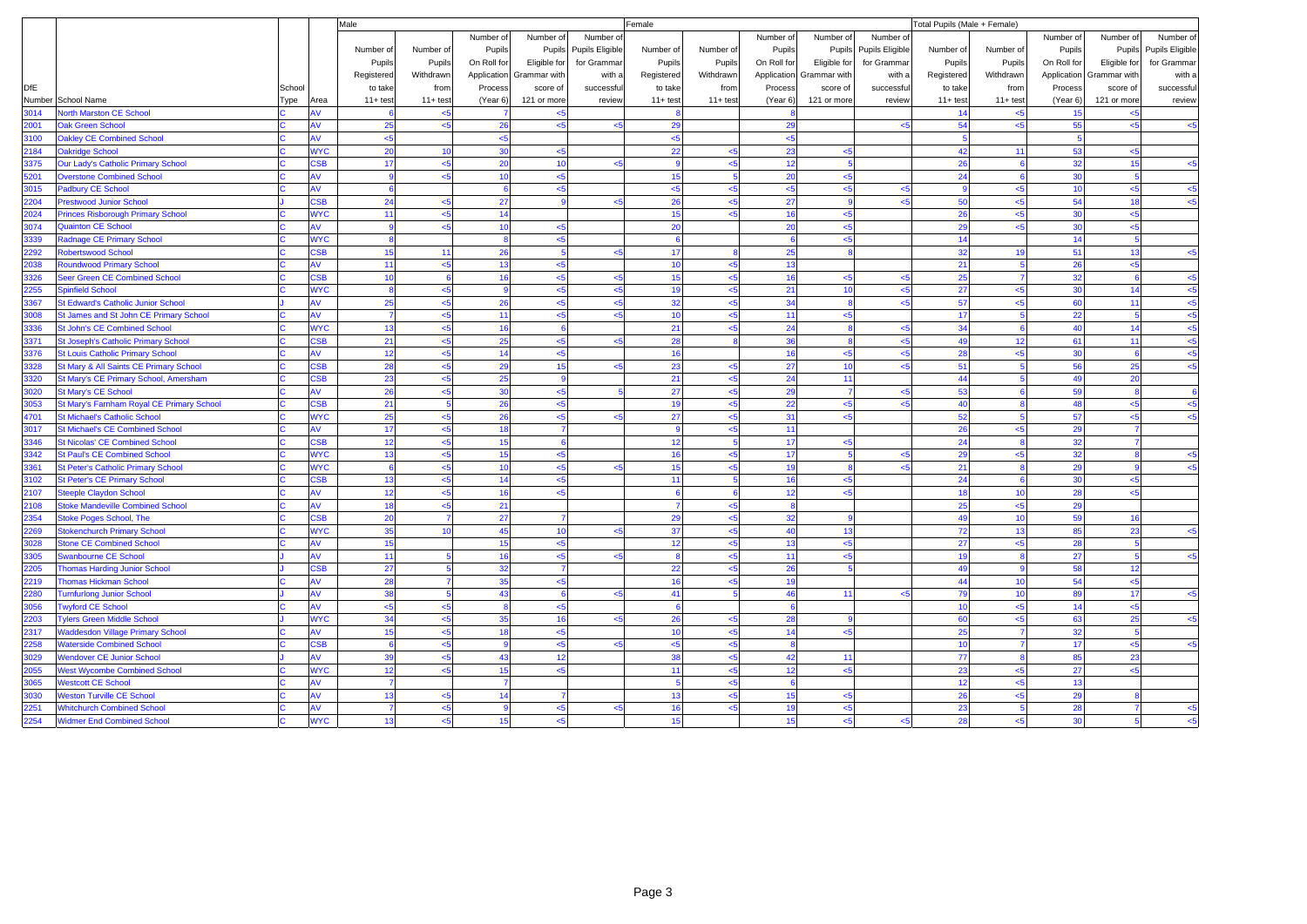|            |                                            |        |                | Male           |             |                |                 |                        | Female      |              |              |                          |                        | Total Pupils (Male + Female) |              |             |              |                 |
|------------|--------------------------------------------|--------|----------------|----------------|-------------|----------------|-----------------|------------------------|-------------|--------------|--------------|--------------------------|------------------------|------------------------------|--------------|-------------|--------------|-----------------|
|            |                                            |        |                |                |             | Number of      | Number of       | Number of              |             |              | Number of    | Number of                | Number of              |                              |              | Number of   | Number of    | Number of       |
|            |                                            |        |                | Number of      | Number of   | Pupils         |                 | Pupils Pupils Eligible | Number of   | Number of    | Pupils       | Pupils                   | <b>Pupils Eligible</b> | Number of                    | Number of    | Pupils      | Pupils       | Pupils Eligible |
|            |                                            |        |                | Pupils         | Pupils      | On Roll for    | Eligible for    | for Grammar            | Pupils      | Pupils       | On Roll for  | Eligible for             | for Grammar            | Pupils                       | Pupils       | On Roll for | Eligible for | for Gramma      |
|            |                                            |        |                | Registered     | Withdrawn   | Application    | Grammar with    | with a                 | Registered  | Withdrawn    |              | Application Grammar with | with a                 | Registered                   | Withdrawn    | Application | Grammar with | with a          |
| <b>DfE</b> |                                            | School |                | to take        | from        | Process        | score of        | successful             | to take     | from         | Process      | score of                 | successful             | to take                      | from         | Process     | score of     | successful      |
|            | Number School Name                         | Type   | Area           | $11 + test$    | $11 + test$ | (Year 6)       | 121 or more     | review                 | $11 + test$ | $11+$ test   | (Year 6)     | 121 or more              | review                 | $11+ test$                   | $11 + test$  | (Year 6)    | 121 or more  | review          |
| 3014       | <b>Jorth Marston CE School</b>             |        | w              |                | $5$         |                | $5$             |                        |             |              |              |                          |                        | 14                           | < 5          | 15          | k.           |                 |
| 2001       | <b>Jak Green School</b>                    |        | W              | 25             | 5           | 26             | $5$             | -5                     | 29          |              | 29           |                          | k.                     | 54                           | < 5          | 55          | 5            | $\leq 5$        |
| 3100       | <b>Oakley CE Combined School</b>           |        | AV             | $5 - 5$        |             | $5$            |                 |                        | <5          |              | $5$          |                          |                        |                              |              |             |              |                 |
| 2184       | <b>Oakridge School</b>                     |        | <b>WYC</b>     | 20             | 10          | 30             | 5               |                        | 22          | < 5          | 23           | $5$                      |                        | 42                           | 11           | 53          | $5$          |                 |
| 3375       | Our Lady's Catholic Primary School         |        | <b>SB</b>      | 17             | 5           | 20             | 10              | $\leq 5$               | -9          | $5$          | 12           | 5                        |                        | 26                           |              | 32          | 15           | 5               |
| 5201       | <b>Overstone Combined School</b>           |        |                |                | $\leq$ 5    | 10             | $5 - 5$         |                        | 15          |              | 20           | $5$                      |                        | 24                           |              | 30          |              |                 |
| 3015       | <b>Padbury CE School</b>                   |        | w              | $\mathbf{6}$   |             | 6              | $5 - 5$         |                        | <5          | < 5          | 5            | $<$ 5                    | $5$                    | <b>q</b>                     | $5 - 5$      | 10          | $<$ 5        | $<$ 5           |
| 2204       | <b>Prestwood Junior School</b>             |        | <b>SB</b>      | 24             | 5           | 27             | 9               | $5$                    | 26          | $5$          | 27           | $\mathbf{g}$             | 5                      | 50                           | $5$          | 54          | 18           | $5$             |
| 2024       | <b>Princes Risborough Primary School</b>   |        | <b>WYC</b>     | 11             | $5$         | 14             |                 |                        | 15          | < 5          | 16           | $5 - 5$                  |                        | 26                           | $5 - 5$      | 30          | $5$          |                 |
| 3074       | <b>Quainton CE School</b>                  |        | w              | $\mathbf{q}$   | 5           | 10             | < 5             |                        | 20          |              | 20           | <5                       |                        | 29                           | $5$          | 30          | $5$          |                 |
| 3339       | <b>Radnage CE Primary School</b>           |        | <b>WYC</b>     | 8              |             | 8              | < 5             |                        | 6           |              | 6            | $5$                      |                        | 14                           |              | 14          |              |                 |
| 2292       | <b>Robertswood School</b>                  |        | <b>SB</b>      | 15             | 11          | 26             | $\overline{a}$  | 5 <sub>5</sub>         | 17          |              | 25           |                          |                        | 32                           | 19           | 51          | 13           | $<$ 5           |
| 2038       | <b>Roundwood Primary School</b>            |        | $\mathsf{W}$   | 11             | 5           | 13             | $5 - 5$         |                        | 10          | $<$ 5        | 13           |                          |                        | 21                           |              | 26          | 5            |                 |
| 3326       | Seer Green CE Combined School              |        | <b>SB</b>      | 10             |             | 16             | $\leq 5$        | $5$                    | 15          | $5$          | 16           | $5$                      | k                      | 25                           |              | 32          |              | $5$             |
| 255        | <b>Spinfield School</b>                    |        | <b>NYC</b>     | $\mathbf{a}$   | 5           | $\alpha$       | $5 - 5$         | 5 <sub>5</sub>         | 19          | $\leq$ 5     | 21           | 10                       | k                      | 27                           | $5 - 5$      | 30          | 14           | $\leq$          |
| 3367       | St Edward's Catholic Junior School         |        | w              | 25             | 5           | 26             | $5$             | $5$                    | 32          | < 5          | 34           | $\mathbf{8}$             | k                      | 57                           | $5$          | 60          | 11           | $<$ 5           |
| 8008       | St James and St John CE Primary School     |        | W              |                | 5           | 11             | $5 - 5$         | $5$                    | 10          | $<$ 5        | 11           | $5 - 5$                  |                        | 17                           |              | 22          |              | $5$             |
| 3336       | <b>St John's CE Combined School</b>        |        | <b>WYC</b>     | 13             | $<$ 5       | 16             | 6               |                        | 21          | < 5          | 24           |                          | ⊲                      | 34                           |              | 40          | 14           | $<$ 5           |
| 3371       | <b>St Joseph's Catholic Primary School</b> |        | <b>SB</b>      | 21             | 5           | 25             | $5$             | -5                     | 28          | $\mathbf{R}$ | 36           | $\mathbf{8}$             | k                      | 49                           | 12           | 61          | 11           | $<$ 5           |
| 3376       | <b>St Louis Catholic Primary School</b>    |        | W.             | 12             | 5           | 14             | $5$             |                        | 16          |              | 16           | <5                       | 5                      | 28                           | $5$          | 30          |              | 5               |
| 3328       | St Mary & All Saints CE Primary School     |        | <b>SB</b>      | 28             | 5           | 29             | 15              | 5 <sub>5</sub>         | 23          | $<$ 5        | 27           | 10                       | k.                     | 51                           |              | 56          | 25           | $<$ 5           |
| 3320       | St Mary's CE Primary School, Amersham      |        | <b>SB</b>      | 23             | 5           | 25             | $\mathbf{q}$    |                        | 21          | $5$          | 24           | 11                       |                        | 44                           |              | 49          | 20           |                 |
| 3020       | St Mary's CE School                        |        | Ŵ              | 26             | 5           | 30             | $5$             |                        | 27          | $<$ 5        | 29           | -7                       | 5                      | 53                           |              | 59          |              |                 |
| 3053       | St Mary's Farnham Royal CE Primary School  |        | <b>SB</b>      | 21             |             | 26             | 5 <sub>6</sub>  |                        | 19          | $<$ 5        | 22           | $5 - 5$                  |                        | 40                           |              | 48          | $5$          | $<$ 5           |
| 4701       | <b>St Michael's Catholic School</b>        |        | <b>NYC</b>     | 25             | 5           | 26             | <5              | -5                     | 27          | $5$          | 31           | <5                       |                        | 52                           |              | 57          | $5$          | $5$             |
| 3017       | <b>St Michael's CE Combined School</b>     |        | $\mathbf{v}$   | 17             | 5           | 18             | 7               |                        | g           | $<$ 5        | 11           |                          |                        | 26                           | $5$          | 29          |              |                 |
| 346        | <b>St Nicolas' CE Combined School</b>      |        | <b>SB</b>      | 12             | $5$         | 15             | $\mathbf{g}$    |                        | 12          |              | 17           | $5 - 5$                  |                        | 24                           |              | 32          |              |                 |
| 3342       | <b>St Paul's CE Combined School</b>        |        | <b>NYC</b>     | 13             | 5           | 15             | < 5             |                        | 16          | < 5          | 17           | 5                        | <5                     | 29                           | <5           | 32          |              | $5$             |
| 3361       | <b>St Peter's Catholic Primary School</b>  |        | <b>WYC</b>     | 6              | 5           | 10             | $5$             | -5                     | 15          | $5$          | 19           | $\mathbf{8}$             | k                      | 21                           |              | 29          |              | < 5             |
| 3102       | <b>St Peter's CE Primary School</b>        |        | <b>SB</b>      | 13             | $\leq$ 5    | 14             | < 5             |                        | 11          |              | 16           | $5$                      |                        | 24                           |              | 30          | k.           |                 |
| 2107       | <b>iteeple Claydon School</b>              |        | $\mathsf{W}$   | 12             | 5           | 16             | < 5             |                        | -6          | $\epsilon$   | 12           | $5$                      |                        | 18                           | 10           | 28          | $5$          |                 |
| 2108       | <b>Itoke Mandeville Combined School</b>    |        | ١V             | 18             | $5$         | 21             |                 |                        |             | < 5          | 8            |                          |                        | 25                           | $5 - 5$      | 29          |              |                 |
| 2354       | toke Poges School, The                     |        | <b>SB</b>      | 20             |             | 27             | $\overline{7}$  |                        | 29          | $<$ 5        | 32           |                          |                        | 49                           | 10           | 59          | 16           |                 |
| 2269       | <b>Stokenchurch Primary School</b>         |        | <b>NYC</b>     | 35             | 10          | 45             | 10 <sup>1</sup> | بتدر                   | 37          | $<$ 5        | 40           | 13                       |                        | 72                           | 13           | 85          | 23           | $5$             |
| 3028       | <b>Stone CE Combined School</b>            |        | W              | 15             |             | 15             | $5 - 5$         |                        | 12          | $5$          | 13           | $5$                      |                        | 27                           | $5$          | 28          |              |                 |
| 3305       | <b>Swanbourne CE School</b>                |        | w              | 11             |             | 16             | $\leq$ 5        |                        |             | < 5          | 11           | $5 - 5$                  |                        | 19                           |              | 27          |              | $<$ 5           |
| 2205       | <b>Thomas Harding Junior School</b>        |        | <b>SB</b>      | 27             |             | 32             | $\overline{7}$  |                        | 22          | $5$          | 26           |                          |                        | 49                           |              | 58          | 12           |                 |
| 2219       | <b>Thomas Hickman School</b>               |        | $\mathbf v$    | 28             |             | 35             | < 5             |                        | 16          | $5$          | 19           |                          |                        | 44                           | 10           | 54          | 5            |                 |
| 280        | <b>Turnfurlong Junior School</b>           |        | $\overline{M}$ | 38             |             | 43             | $\mathbf{g}$    |                        | 41          |              | 46           | 11                       |                        | 79                           | 10           | 89          | 17           | $<$ 5           |
| 3056       | <b>Twyford CE School</b>                   |        | w              | $5$            | 5           | $\mathbf{a}$   | $\leq 5$        |                        | 6           |              | 6            |                          |                        | 10                           | $5 - 5$      | 14          | <5           |                 |
| 2203       | <b>Tylers Green Middle School</b>          |        | <b>WYC</b>     | 34             | $5$         | 35             | 16              | $5 - 5$                | 26          | < 5          | 28           |                          |                        | 60                           | < 5          | 63          | 25           | $\leq 5$        |
| 2317       | <b>Waddesdon Village Primary School</b>    |        | W              | 15             | < 5         | 18             | $5$             |                        | 10          | $<$ 5        | 14           | $<$ 5                    |                        | 25                           |              | 32          |              |                 |
| 2258       | <b>Waterside Combined School</b>           |        | <b>SB</b>      | $\mathbf{6}$   | 5           | $\mathbf{Q}$   | $5$             | -5                     | <5          | $5$          | $\mathbf{8}$ |                          |                        | 10                           |              | 17          | $5$          | $5$             |
| 3029       | <b>Wendover CE Junior School</b>           |        | w              | 39             | $5$         | 43             | 12              |                        | 38          | $5$          | 42           | 11                       |                        | 77                           | $\mathbf{R}$ | 85          | 23           |                 |
| 2055       | <b>West Wycombe Combined School</b>        |        | <b>WYC</b>     | 12             | $\leq$ 5    | 15             | 5 <sub>6</sub>  |                        | 11          | < 5          | 12           | $<$ 5                    |                        | 23                           | < 5          | 27          | k.           |                 |
| 3065       | <b>Westcott CE School</b>                  |        | w              | $\overline{7}$ |             | $\overline{7}$ |                 |                        | -5          | < 5          | 6            |                          |                        | 12                           | < 5          | 13          |              |                 |
| 3030       | <b>Weston Turville CE School</b>           |        | W              | 13             | 5           | 14             | $\overline{7}$  |                        | 13          | $5$          | 15           | $5$                      |                        | 26                           | $5$          | 29          |              |                 |
| 2251       | <b>Whitchurch Combined School</b>          |        | W              |                | 5           |                | $5 - 5$         |                        | 16          | $5 - 5$      | 19           | $5 - 5$                  |                        | 23                           |              | 28          |              | $<$ 5           |
| 2254       | <b>Widmer End Combined School</b>          |        | <b>WYC</b>     | 13             | $5 - 5$     | 15             | $5 - 5$         |                        | 15          |              | 15           | $5 - 5$                  | 5                      | 28                           | < 5          | 30          |              | $5$             |